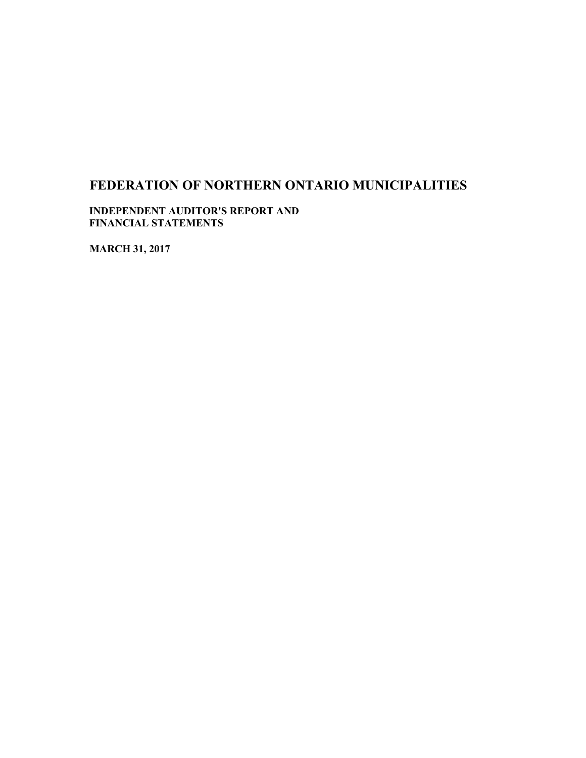**INDEPENDENT AUDITOR'S REPORT AND FINANCIAL STATEMENTS**

**MARCH 31, 2017**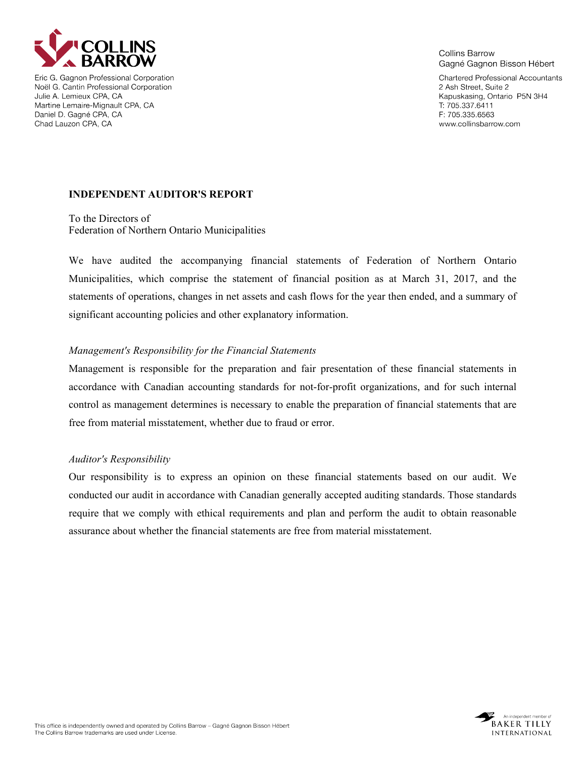

Eric G. Gagnon Professional Corporation Noël G. Cantin Professional Corporation Julie A. Lemieux CPA, CA Martine Lemaire-Mignault CPA, CA Daniel D. Gagné CPA, CA Chad Lauzon CPA, CA

**Collins Barrow** Gagné Gagnon Bisson Hébert

Chartered Professional Accountants 2 Ash Street, Suite 2 Kapuskasing, Ontario P5N 3H4 T: 705.337.6411 F: 705.335.6563 www.collinsbarrow.com

## **INDEPENDENT AUDITOR'S REPORT**

To the Directors of Federation of Northern Ontario Municipalities

We have audited the accompanying financial statements of Federation of Northern Ontario Municipalities, which comprise the statement of financial position as at March 31, 2017, and the statements of operations, changes in net assets and cash flows for the year then ended, and a summary of significant accounting policies and other explanatory information.

## *Management's Responsibility for the Financial Statements*

Management is responsible for the preparation and fair presentation of these financial statements in accordance with Canadian accounting standards for not-for-profit organizations, and for such internal control as management determines is necessary to enable the preparation of financial statements that are free from material misstatement, whether due to fraud or error.

### *Auditor's Responsibility*

Our responsibility is to express an opinion on these financial statements based on our audit. We conducted our audit in accordance with Canadian generally accepted auditing standards. Those standards require that we comply with ethical requirements and plan and perform the audit to obtain reasonable assurance about whether the financial statements are free from material misstatement.

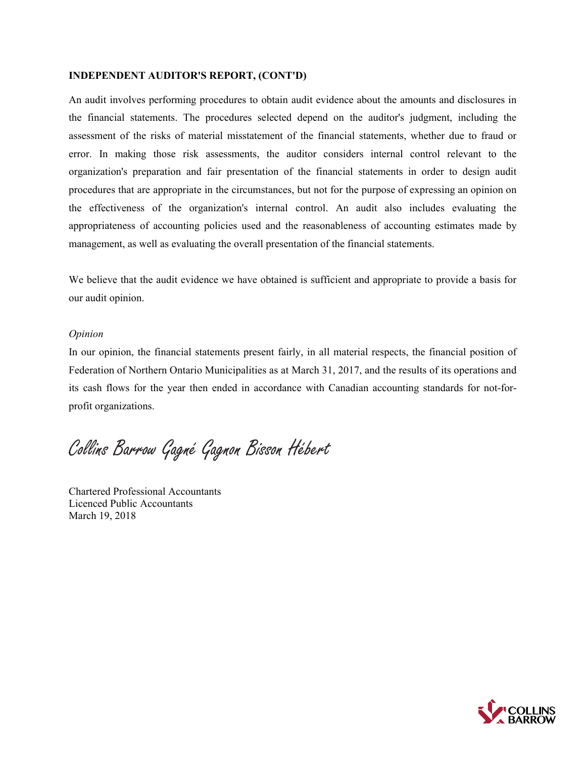#### **INDEPENDENT AUDITOR'S REPORT, (CONT'D)**

An audit involves performing procedures to obtain audit evidence about the amounts and disclosures in the financial statements. The procedures selected depend on the auditor's judgment, including the assessment of the risks of material misstatement of the financial statements, whether due to fraud or error. In making those risk assessments, the auditor considers internal control relevant to the organization's preparation and fair presentation of the financial statements in order to design audit procedures that are appropriate in the circumstances, but not for the purpose of expressing an opinion on the effectiveness of the organization's internal control. An audit also includes evaluating the appropriateness of accounting policies used and the reasonableness of accounting estimates made by management, as well as evaluating the overall presentation of the financial statements.

We believe that the audit evidence we have obtained is sufficient and appropriate to provide a basis for our audit opinion.

#### *Opinion*

In our opinion, the financial statements present fairly, in all material respects, the financial position of Federation of Northern Ontario Municipalities as at March 31, 2017, and the results of its operations and its cash flows for the year then ended in accordance with Canadian accounting standards for not-forprofit organizations.

Collins Barrow Gagné Gagnon Bisson Hébert

Chartered Professional Accountants Licenced Public Accountants March 19, 2018

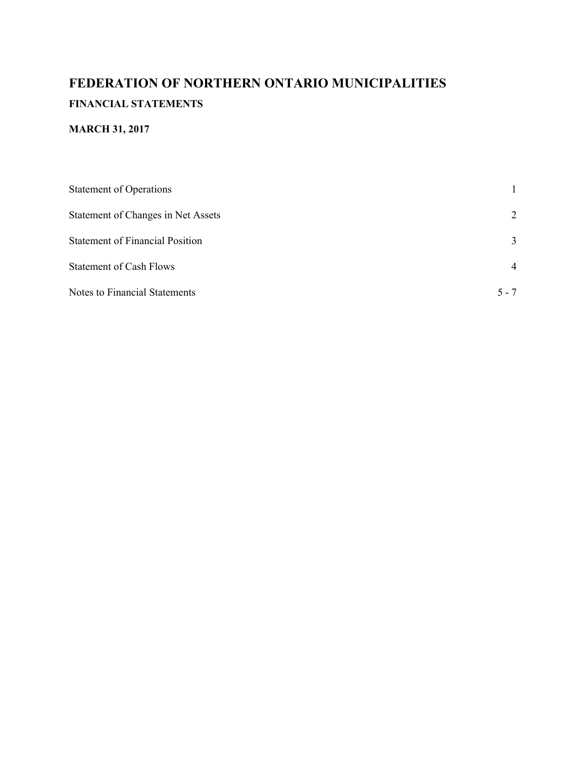# **FEDERATION OF NORTHERN ONTARIO MUNICIPALITIES FINANCIAL STATEMENTS**

# **MARCH 31, 2017**

| <b>Statement of Operations</b>         |                |  |  |  |
|----------------------------------------|----------------|--|--|--|
| Statement of Changes in Net Assets     | 2              |  |  |  |
| <b>Statement of Financial Position</b> | 3              |  |  |  |
| <b>Statement of Cash Flows</b>         | $\overline{4}$ |  |  |  |
| <b>Notes to Financial Statements</b>   | $5 - 7$        |  |  |  |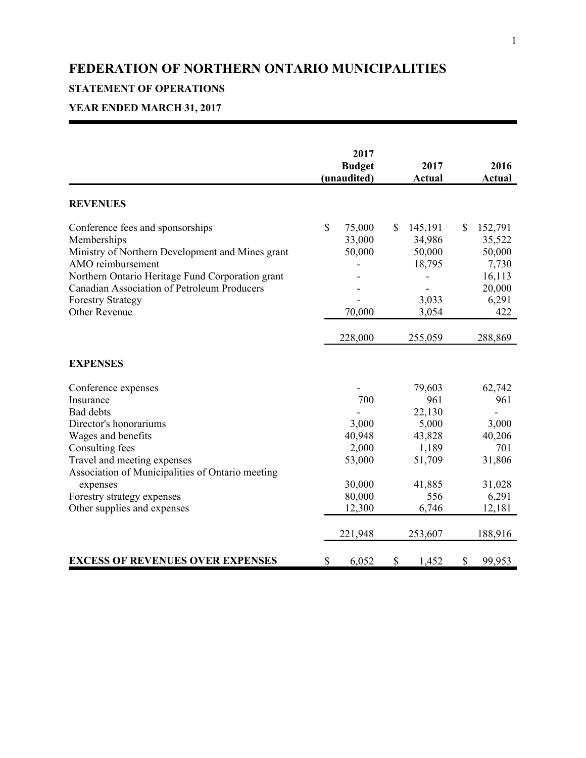# **STATEMENT OF OPERATIONS**

# **YEAR ENDED MARCH 31, 2017**

|                                                                                                                                                                                                                                                                                     | 2017<br><b>Budget</b><br>(unaudited)                                               |                           | 2017<br><b>Actual</b>                                                                              |             | 2016<br><b>Actual</b>                                                                     |
|-------------------------------------------------------------------------------------------------------------------------------------------------------------------------------------------------------------------------------------------------------------------------------------|------------------------------------------------------------------------------------|---------------------------|----------------------------------------------------------------------------------------------------|-------------|-------------------------------------------------------------------------------------------|
| <b>REVENUES</b>                                                                                                                                                                                                                                                                     |                                                                                    |                           |                                                                                                    |             |                                                                                           |
| Conference fees and sponsorships<br>Memberships<br>Ministry of Northern Development and Mines grant<br>AMO reimbursement<br>Northern Ontario Heritage Fund Corporation grant<br>Canadian Association of Petroleum Producers<br><b>Forestry Strategy</b><br><b>Other Revenue</b>     | \$<br>75,000<br>33,000<br>50,000<br>70,000<br>228,000                              | $\boldsymbol{\mathsf{S}}$ | 145,191<br>34,986<br>50,000<br>18,795<br>3,033<br>3,054<br>255,059                                 | $\mathbf S$ | 152,791<br>35,522<br>50,000<br>7,730<br>16,113<br>20,000<br>6,291<br>422<br>288,869       |
| <b>EXPENSES</b>                                                                                                                                                                                                                                                                     |                                                                                    |                           |                                                                                                    |             |                                                                                           |
| Conference expenses<br>Insurance<br><b>Bad debts</b><br>Director's honorariums<br>Wages and benefits<br>Consulting fees<br>Travel and meeting expenses<br>Association of Municipalities of Ontario meeting<br>expenses<br>Forestry strategy expenses<br>Other supplies and expenses | 700<br>3,000<br>40,948<br>2,000<br>53,000<br>30,000<br>80,000<br>12,300<br>221,948 |                           | 79,603<br>961<br>22,130<br>5,000<br>43,828<br>1,189<br>51,709<br>41,885<br>556<br>6,746<br>253,607 |             | 62,742<br>961<br>3,000<br>40,206<br>701<br>31,806<br>31,028<br>6,291<br>12,181<br>188,916 |
| <b>EXCESS OF REVENUES OVER EXPENSES</b>                                                                                                                                                                                                                                             | \$<br>6,052                                                                        | \$                        | 1,452                                                                                              | \$          | 99,953                                                                                    |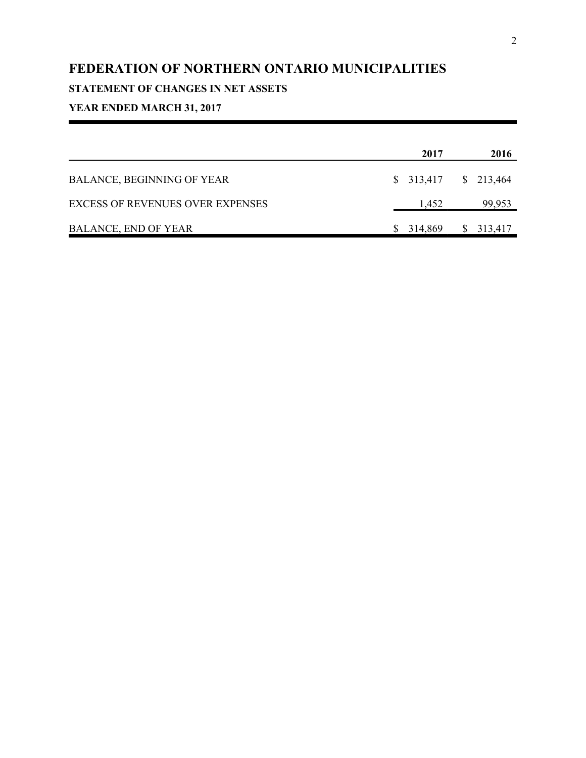# **STATEMENT OF CHANGES IN NET ASSETS**

# **YEAR ENDED MARCH 31, 2017**

|                                         | 2017          | 2016                  |
|-----------------------------------------|---------------|-----------------------|
| BALANCE, BEGINNING OF YEAR              |               | $$313,417$ $$213,464$ |
| <b>EXCESS OF REVENUES OVER EXPENSES</b> | 1,452         | 99,953                |
| <b>BALANCE, END OF YEAR</b>             | 314,869<br>S. | \$313,417             |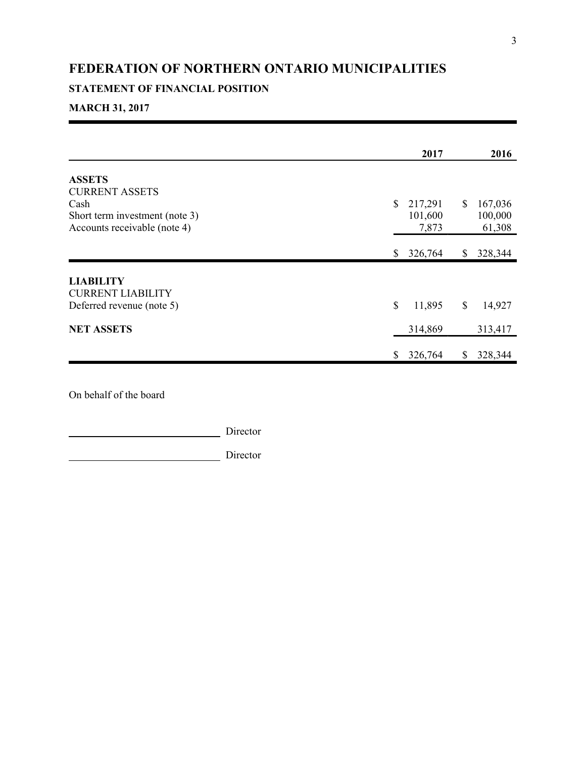## **STATEMENT OF FINANCIAL POSITION**

## **MARCH 31, 2017**

|                                                                        | 2017                              | 2016                               |
|------------------------------------------------------------------------|-----------------------------------|------------------------------------|
| <b>ASSETS</b><br><b>CURRENT ASSETS</b>                                 |                                   |                                    |
| Cash<br>Short term investment (note 3)<br>Accounts receivable (note 4) | \$<br>217,291<br>101,600<br>7,873 | \$<br>167,036<br>100,000<br>61,308 |
|                                                                        | 326,764<br>\$                     | \$<br>328,344                      |
| <b>LIABILITY</b><br><b>CURRENT LIABILITY</b>                           |                                   |                                    |
| Deferred revenue (note 5)                                              | \$<br>11,895                      | \$<br>14,927                       |
| <b>NET ASSETS</b>                                                      | 314,869                           | 313,417                            |
|                                                                        | 326,764<br>\$                     | \$<br>328,344                      |

On behalf of the board

Director

Director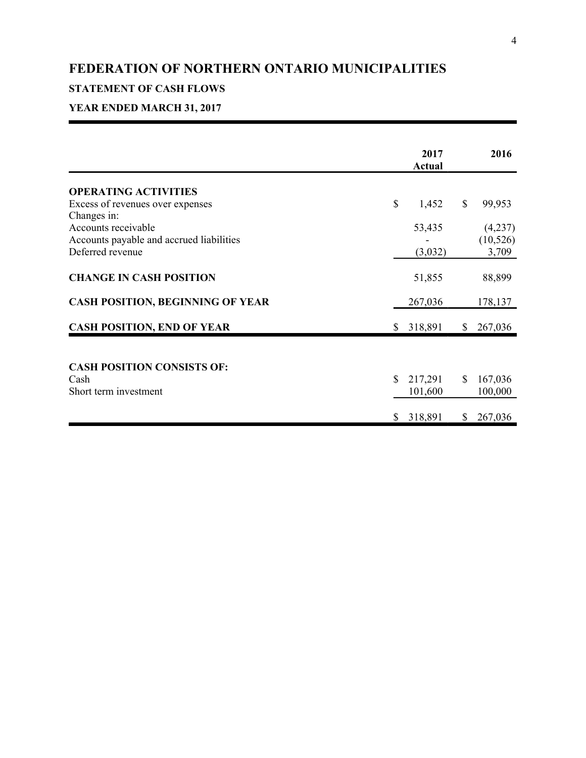# **STATEMENT OF CASH FLOWS**

# **YEAR ENDED MARCH 31, 2017**

| <b>OPERATING ACTIVITIES</b><br>Excess of revenues over expenses                                    | \$<br>1,452              | \$<br>99,953             |
|----------------------------------------------------------------------------------------------------|--------------------------|--------------------------|
| Changes in:<br>Accounts receivable<br>Accounts payable and accrued liabilities<br>Deferred revenue | 53,435                   | (4,237)<br>(10, 526)     |
| <b>CHANGE IN CASH POSITION</b>                                                                     | (3,032)<br>51,855        | 3,709<br>88,899          |
| <b>CASH POSITION, BEGINNING OF YEAR</b>                                                            | 267,036                  | 178,137                  |
| <b>CASH POSITION, END OF YEAR</b>                                                                  | \$<br>318,891            | \$<br>267,036            |
| <b>CASH POSITION CONSISTS OF:</b>                                                                  |                          |                          |
| Cash<br>Short term investment                                                                      | \$<br>217,291<br>101,600 | \$<br>167,036<br>100,000 |
|                                                                                                    | \$<br>318,891            | \$<br>267,036            |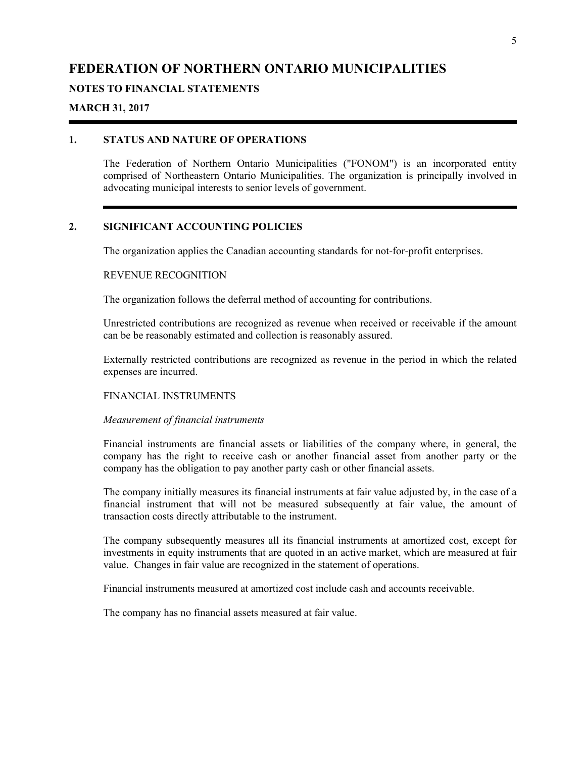#### **NOTES TO FINANCIAL STATEMENTS**

#### **MARCH 31, 2017**

#### **1. STATUS AND NATURE OF OPERATIONS**

The Federation of Northern Ontario Municipalities ("FONOM") is an incorporated entity comprised of Northeastern Ontario Municipalities. The organization is principally involved in advocating municipal interests to senior levels of government.

## **2. SIGNIFICANT ACCOUNTING POLICIES**

The organization applies the Canadian accounting standards for not-for-profit enterprises.

#### REVENUE RECOGNITION

The organization follows the deferral method of accounting for contributions.

Unrestricted contributions are recognized as revenue when received or receivable if the amount can be be reasonably estimated and collection is reasonably assured.

Externally restricted contributions are recognized as revenue in the period in which the related expenses are incurred.

#### FINANCIAL INSTRUMENTS

#### *Measurement of financial instruments*

Financial instruments are financial assets or liabilities of the company where, in general, the company has the right to receive cash or another financial asset from another party or the company has the obligation to pay another party cash or other financial assets.

The company initially measures its financial instruments at fair value adjusted by, in the case of a financial instrument that will not be measured subsequently at fair value, the amount of transaction costs directly attributable to the instrument.

The company subsequently measures all its financial instruments at amortized cost, except for investments in equity instruments that are quoted in an active market, which are measured at fair value. Changes in fair value are recognized in the statement of operations.

Financial instruments measured at amortized cost include cash and accounts receivable.

The company has no financial assets measured at fair value.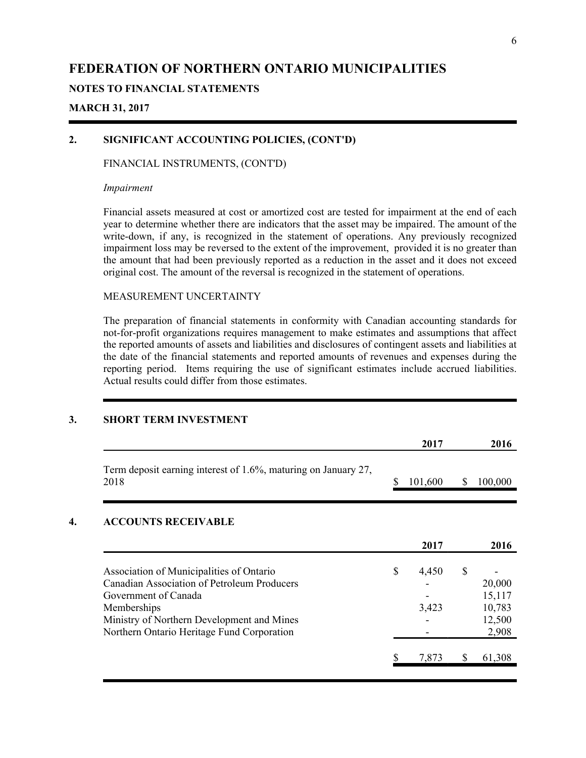## **NOTES TO FINANCIAL STATEMENTS**

### **MARCH 31, 2017**

## **2. SIGNIFICANT ACCOUNTING POLICIES, (CONT'D)**

#### FINANCIAL INSTRUMENTS, (CONT'D)

#### *Impairment*

Financial assets measured at cost or amortized cost are tested for impairment at the end of each year to determine whether there are indicators that the asset may be impaired. The amount of the write-down, if any, is recognized in the statement of operations. Any previously recognized impairment loss may be reversed to the extent of the improvement, provided it is no greater than the amount that had been previously reported as a reduction in the asset and it does not exceed original cost. The amount of the reversal is recognized in the statement of operations.

#### MEASUREMENT UNCERTAINTY

The preparation of financial statements in conformity with Canadian accounting standards for not-for-profit organizations requires management to make estimates and assumptions that affect the reported amounts of assets and liabilities and disclosures of contingent assets and liabilities at the date of the financial statements and reported amounts of revenues and expenses during the reporting period. Items requiring the use of significant estimates include accrued liabilities. Actual results could differ from those estimates.

#### **3. SHORT TERM INVESTMENT**

|                                                                        |    | 2017    | 2016          |
|------------------------------------------------------------------------|----|---------|---------------|
| Term deposit earning interest of 1.6%, maturing on January 27,<br>2018 | S  | 101,600 | \$<br>100,000 |
| <b>ACCOUNTS RECEIVABLE</b>                                             |    |         |               |
|                                                                        |    | 2017    | 2016          |
| Association of Municipalities of Ontario                               | \$ | 4,450   | \$            |
| Canadian Association of Petroleum Producers                            |    |         | 20,000        |
| Government of Canada                                                   |    |         | 15,117        |
| Memberships                                                            |    | 3,423   | 10,783        |
| Ministry of Northern Development and Mines                             |    |         | 12,500        |
| Northern Ontario Heritage Fund Corporation                             |    |         | 2,908         |
|                                                                        | \$ | 7,873   | \$<br>61,308  |
|                                                                        |    |         |               |